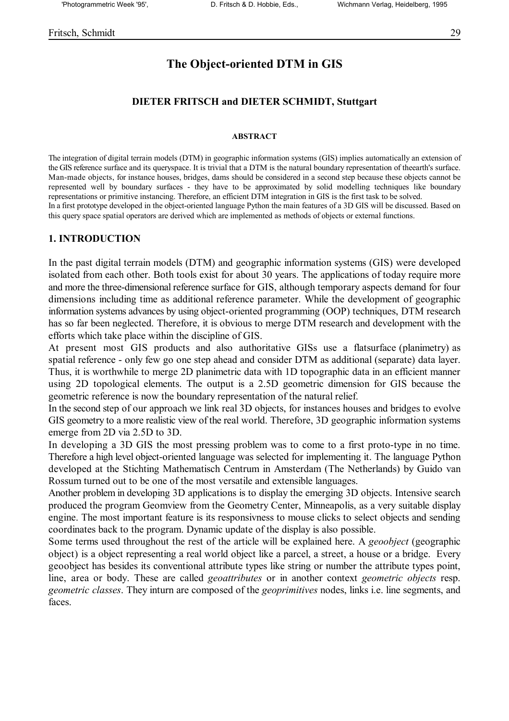# **The Object-oriented DTM in GIS**

## **DIETER FRITSCH and DIETER SCHMIDT, Stuttgart**

#### **ABSTRACT**

The integration of digital terrain models (DTM) in geographic information systems (GIS) implies automatically an extension of the GIS reference surface and its queryspace. It is trivial that a DTM is the natural boundary representation of theearth's surface. Man-made objects, for instance houses, bridges, dams should be considered in a second step because these objects cannot be represented well by boundary surfaces - they have to be approximated by solid modelling techniques like boundary representations or primitive instancing. Therefore, an efficient DTM integration in GIS is the first task to be solved. In a first prototype developed in the object-oriented language Python the main features of a 3D GIS will be discussed. Based on this query space spatial operators are derived which are implemented as methods of objects or external functions.

### **1. INTRODUCTION**

In the past digital terrain models (DTM) and geographic information systems (GIS) were developed isolated from each other. Both tools exist for about 30 years. The applications of today require more and more the three-dimensional reference surface for GIS, although temporary aspects demand for four dimensions including time as additional reference parameter. While the development of geographic information systems advances by using object-oriented programming (OOP) techniques, DTM research has so far been neglected. Therefore, it is obvious to merge DTM research and development with the efforts which take place within the discipline of GIS.

At present most GIS products and also authoritative GISs use a flatsurface (planimetry) as spatial reference - only few go one step ahead and consider DTM as additional (separate) data layer. Thus, it is worthwhile to merge 2D planimetric data with 1D topographic data in an efficient manner using 2D topological elements. The output is a 2.5D geometric dimension for GIS because the geometric reference is now the boundary representation of the natural relief.

In the second step of our approach we link real 3D objects, for instances houses and bridges to evolve GIS geometry to a more realistic view of the real world. Therefore, 3D geographic information systems emerge from 2D via 2.5D to 3D.

In developing a 3D GIS the most pressing problem was to come to a first proto-type in no time. Therefore a high level object-oriented language was selected for implementing it. The language Python developed at the Stichting Mathematisch Centrum in Amsterdam (The Netherlands) by Guido van Rossum turned out to be one of the most versatile and extensible languages.

Another problem in developing 3D applications is to display the emerging 3D objects. Intensive search produced the program Geomview from the Geometry Center, Minneapolis, as a very suitable display engine. The most important feature is its responsivness to mouse clicks to select objects and sending coordinates back to the program. Dynamic update of the display is also possible.

Some terms used throughout the rest of the article will be explained here. A *geoobject* (geographic object) is a object representing a real world object like a parcel, a street, a house or a bridge. Every geoobject has besides its conventional attribute types like string or number the attribute types point, line, area or body. These are called *geoattributes* or in another context *geometric objects* resp. *geometric classes*. They inturn are composed of the *geoprimitives* nodes, links i.e. line segments, and faces.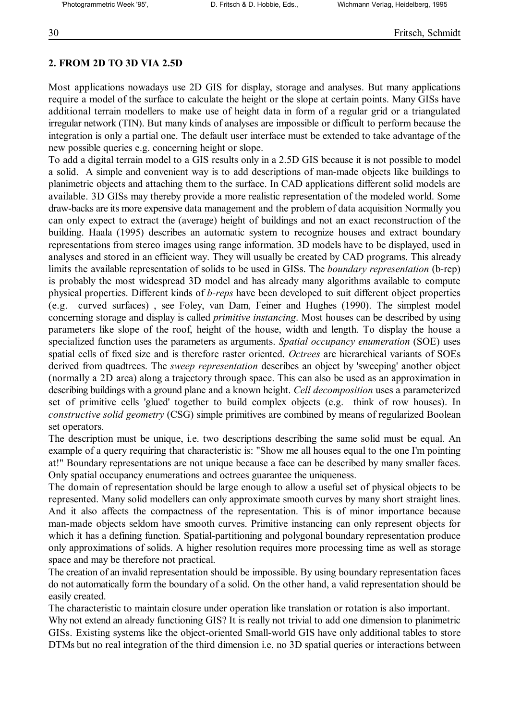# **2. FROM 2D TO 3D VIA 2.5D**

Most applications nowadays use 2D GIS for display, storage and analyses. But many applications require a model of the surface to calculate the height or the slope at certain points. Many GISs have additional terrain modellers to make use of height data in form of a regular grid or a triangulated irregular network (TIN). But many kinds of analyses are impossible or difficult to perform because the integration is only a partial one. The default user interface must be extended to take advantage of the new possible queries e.g. concerning height or slope.

To add a digital terrain model to a GIS results only in a 2.5D GIS because it is not possible to model a solid. A simple and convenient way is to add descriptions of man-made objects like buildings to planimetric objects and attaching them to the surface. In CAD applications different solid models are available. 3D GISs may thereby provide a more realistic representation of the modeled world. Some draw-backs are its more expensive data management and the problem of data acquisition Normally you can only expect to extract the (average) height of buildings and not an exact reconstruction of the building. Haala (1995) describes an automatic system to recognize houses and extract boundary representations from stereo images using range information. 3D models have to be displayed, used in analyses and stored in an efficient way. They will usually be created by CAD programs. This already limits the available representation of solids to be used in GISs. The *boundary representation* (b-rep) is probably the most widespread 3D model and has already many algorithms available to compute physical properties. Different kinds of *b-reps* have been developed to suit different object properties (e.g. curved surfaces) , see Foley, van Dam, Feiner and Hughes (1990). The simplest model concerning storage and display is called *primitive instancing*. Most houses can be described by using parameters like slope of the roof, height of the house, width and length. To display the house a specialized function uses the parameters as arguments. *Spatial occupancy enumeration* (SOE) uses spatial cells of fixed size and is therefore raster oriented. *Octrees* are hierarchical variants of SOEs derived from quadtrees. The *sweep representation* describes an object by 'sweeping' another object (normally a 2D area) along a trajectory through space. This can also be used as an approximation in describing buildings with a ground plane and a known height. *Cell decomposition* uses a parameterized set of primitive cells 'glued' together to build complex objects (e.g. think of row houses). In *constructive solid geometry* (CSG) simple primitives are combined by means of regularized Boolean set operators.

The description must be unique, i.e. two descriptions describing the same solid must be equal. An example of a query requiring that characteristic is: "Show me all houses equal to the one I'm pointing at!" Boundary representations are not unique because a face can be described by many smaller faces. Only spatial occupancy enumerations and octrees guarantee the uniqueness.

The domain of representation should be large enough to allow a useful set of physical objects to be represented. Many solid modellers can only approximate smooth curves by many short straight lines. And it also affects the compactness of the representation. This is of minor importance because man-made objects seldom have smooth curves. Primitive instancing can only represent objects for which it has a defining function. Spatial-partitioning and polygonal boundary representation produce only approximations of solids. A higher resolution requires more processing time as well as storage space and may be therefore not practical.

The creation of an invalid representation should be impossible. By using boundary representation faces do not automatically form the boundary of a solid. On the other hand, a valid representation should be easily created.

The characteristic to maintain closure under operation like translation or rotation is also important.

Why not extend an already functioning GIS? It is really not trivial to add one dimension to planimetric GISs. Existing systems like the object-oriented Small-world GIS have only additional tables to store DTMs but no real integration of the third dimension i.e. no 3D spatial queries or interactions between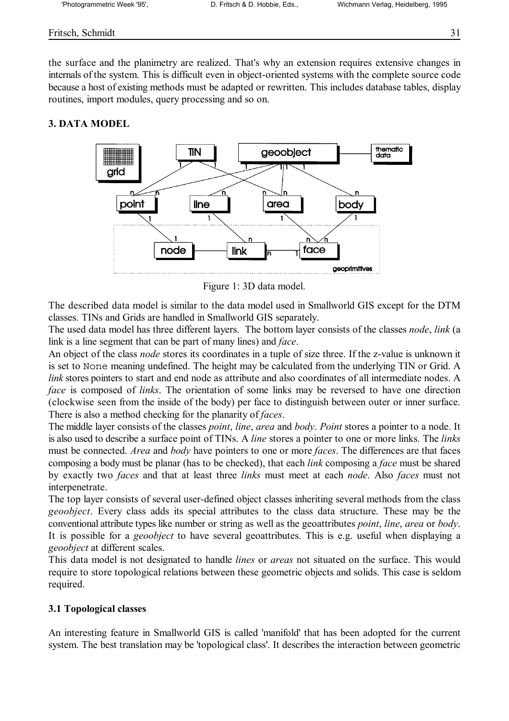## Fritsch, Schmidt 31

the surface and the planimetry are realized. That's why an extension requires extensive changes in internals of the system. This is difficult even in object-oriented systems with the complete source code because a host of existing methods must be adapted or rewritten. This includes database tables, display routines, import modules, query processing and so on.

## **3. DATA MODEL**



Figure 1: 3D data model.

The described data model is similar to the data model used in Smallworld GIS except for the DTM classes. TINs and Grids are handled in Smallworld GIS separately.

The used data model has three different layers. The bottom layer consists of the classes *node*, *link* (a link is a line segment that can be part of many lines) and *face*.

An object of the class *node* stores its coordinates in a tuple of size three. If the z-value is unknown it is set to None meaning undefined. The height may be calculated from the underlying TIN or Grid. A *link* stores pointers to start and end node as attribute and also coordinates of all intermediate nodes. A *face* is composed of *links*. The orientation of some links may be reversed to have one direction (clockwise seen from the inside of the body) per face to distinguish between outer or inner surface. There is also a method checking for the planarity of *faces*.

The middle layer consists of the classes *point*, *line*, *area* and *body*. *Point* stores a pointer to a node. It is also used to describe a surface point of TINs. A *line* stores a pointer to one or more links. The *links* must be connected. *Area* and *body* have pointers to one or more *faces*. The differences are that faces composing a body must be planar (has to be checked), that each *link* composing a *face* must be shared by exactly two *faces* and that at least three *links* must meet at each *node*. Also *faces* must not interpenetrate.

The top layer consists of several user-defined object classes inheriting several methods from the class *geoobject*. Every class adds its special attributes to the class data structure. These may be the conventional attribute types like number or string as well as the geoattributes *point*, *line*, *area* or *body*. It is possible for a *geoobject* to have several geoattributes. This is e.g. useful when displaying a *geoobject* at different scales.

This data model is not designated to handle *lines* or *areas* not situated on the surface. This would require to store topological relations between these geometric objects and solids. This case is seldom required.

## **3.1 Topological classes**

An interesting feature in Smallworld GIS is called 'manifold' that has been adopted for the current system. The best translation may be 'topological class'. It describes the interaction between geometric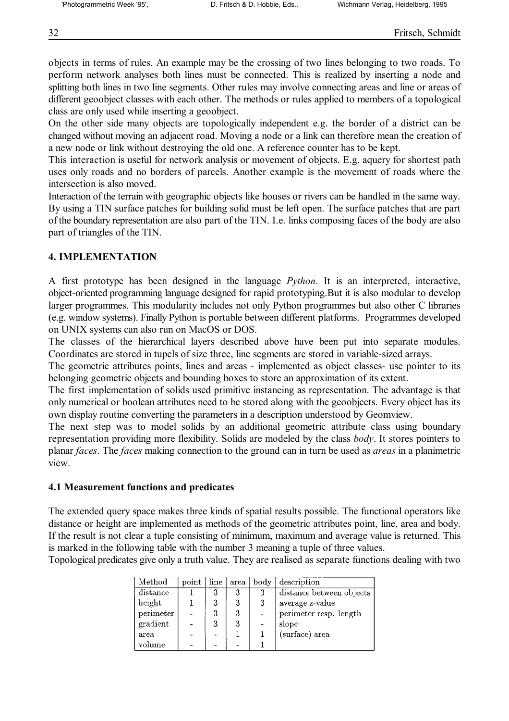objects in terms of rules. An example may be the crossing of two lines belonging to two roads. To perform network analyses both lines must be connected. This is realized by inserting a node and splitting both lines in two line segments. Other rules may involve connecting areas and line or areas of different geoobject classes with each other. The methods or rules applied to members of a topological class are only used while inserting a geoobject.

On the other side many objects are topologically independent e.g. the border of a district can be changed without moving an adjacent road. Moving a node or a link can therefore mean the creation of a new node or link without destroying the old one. A reference counter has to be kept.

This interaction is useful for network analysis or movement of objects. E.g. aquery for shortest path uses only roads and no borders of parcels. Another example is the movement of roads where the intersection is also moved.

Interaction of the terrain with geographic objects like houses or rivers can be handled in the same way. By using a TIN surface patches for building solid must be left open. The surface patches that are part of the boundary representation are also part of the TIN. I.e. links composing faces of the body are also part of triangles of the TIN.

### **4. IMPLEMENTATION**

A first prototype has been designed in the language *Python*. It is an interpreted, interactive, object-oriented programming language designed for rapid prototyping.But it is also modular to develop larger programmes. This modularity includes not only Python programmes but also other C libraries (e.g. window systems). Finally Python is portable between different platforms. Programmes developed on UNIX systems can also run on MacOS or DOS.

The classes of the hierarchical layers described above have been put into separate modules. Coordinates are stored in tupels of size three, line segments are stored in variable-sized arrays.

The geometric attributes points, lines and areas - implemented as object classes- use pointer to its belonging geometric objects and bounding boxes to store an approximation of its extent.

The first implementation of solids used primitive instancing as representation. The advantage is that only numerical or boolean attributes need to be stored along with the geoobjects. Every object has its own display routine converting the parameters in a description understood by Geomview.

The next step was to model solids by an additional geometric attribute class using boundary representation providing more flexibility. Solids are modeled by the class *body*. It stores pointers to planar *faces*. The *faces* making connection to the ground can in turn be used as *areas* in a planimetric view.

#### **4.1 Measurement functions and predicates**

The extended query space makes three kinds of spatial results possible. The functional operators like distance or height are implemented as methods of the geometric attributes point, line, area and body. If the result is not clear a tuple consisting of minimum, maximum and average value is returned. This is marked in the following table with the number 3 meaning a tuple of three values.

Topological predicates give only a truth value. They are realised as separate functions dealing with two

| Method    | point | $_{\rm line}$ | area | body | description              |
|-----------|-------|---------------|------|------|--------------------------|
| distance  |       | 3             | 3    | 3    | distance between objects |
| height    |       | 3             | 3    | 3    | average z-value          |
| perimeter |       | 3             | 3    |      | perimeter resp. length   |
| gradient  |       | 3             | 3    |      | slope                    |
| area      |       |               |      |      | (surface) area           |
| volume    |       |               |      |      |                          |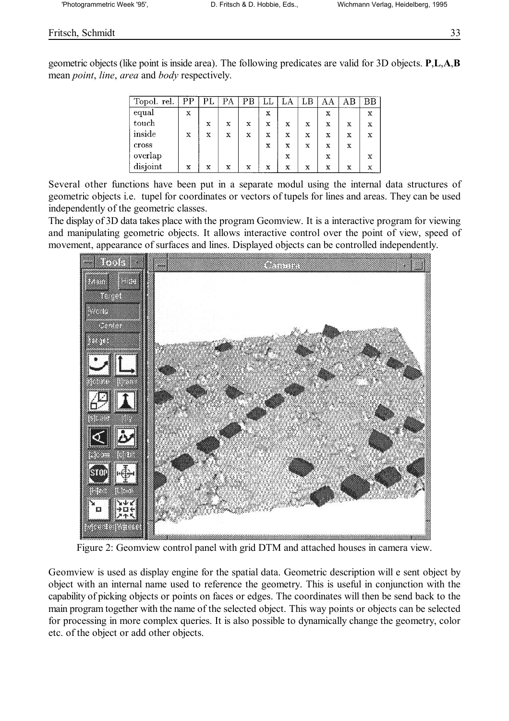### Fritsch, Schmidt 33

geometric objects (like point is inside area). The following predicates are valid for 3D objects. **P**,**L**,**A**,**B** mean *point*, *line*, *area* and *body* respectively.

| Topol. rel. | PP | PL | PA | PВ | ىلىل        | LA          | LB          | ΑΑ | AΒ | ВB |
|-------------|----|----|----|----|-------------|-------------|-------------|----|----|----|
| equal       | x  |    |    |    | х           |             |             | x  |    | x  |
| touch       |    | X  | X  | х  | x           | x           | x           | X  | х  | x  |
| inside      | x  | x  | X  | X  | x           | x           | X           | X  | X  | X  |
| cross       |    |    |    |    | $\mathbf x$ | $\mathbf x$ | х           | х  | x  |    |
| overlap     |    |    |    |    |             | x           |             | х  |    | X  |
| disjoint    | x  | x  | х  | x  | $\mathbf x$ | $\mathbf x$ | $\mathbf x$ | x  | x  | x  |

Several other functions have been put in a separate modul using the internal data structures of geometric objects i.e. tupel for coordinates or vectors of tupels for lines and areas. They can be used independently of the geometric classes.

The display of 3D data takes place with the program Geomview. It is a interactive program for viewing and manipulating geometric objects. It allows interactive control over the point of view, speed of movement, appearance of surfaces and lines. Displayed objects can be controlled independently.



Figure 2: Geomview control panel with grid DTM and attached houses in camera view.

Geomview is used as display engine for the spatial data. Geometric description will e sent object by object with an internal name used to reference the geometry. This is useful in conjunction with the capability of picking objects or points on faces or edges. The coordinates will then be send back to the main program together with the name of the selected object. This way points or objects can be selected for processing in more complex queries. It is also possible to dynamically change the geometry, color etc. of the object or add other objects.